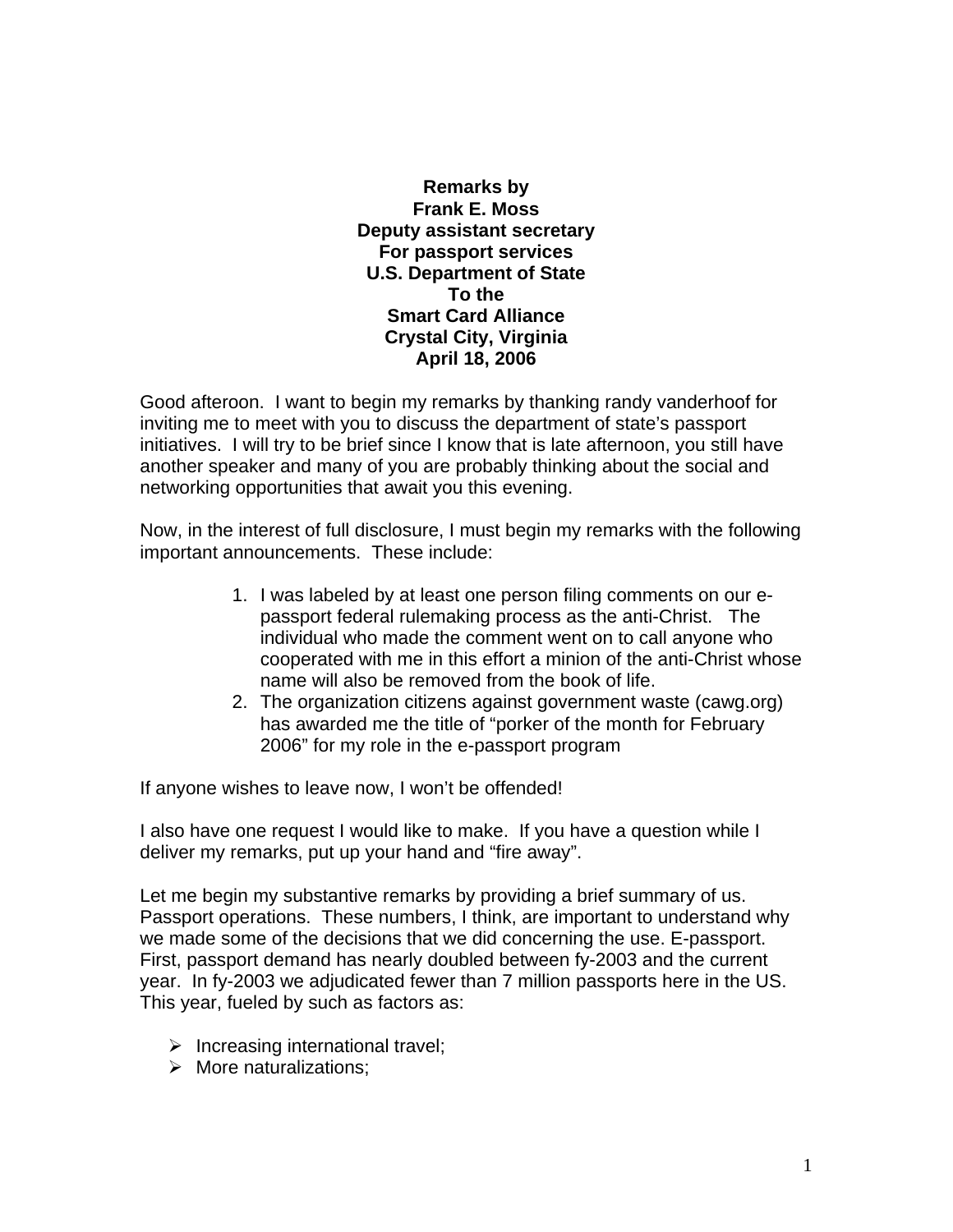**Remarks by Frank E. Moss Deputy assistant secretary For passport services U.S. Department of State To the Smart Card Alliance Crystal City, Virginia April 18, 2006** 

Good afteroon. I want to begin my remarks by thanking randy vanderhoof for inviting me to meet with you to discuss the department of state's passport initiatives. I will try to be brief since I know that is late afternoon, you still have another speaker and many of you are probably thinking about the social and networking opportunities that await you this evening.

Now, in the interest of full disclosure, I must begin my remarks with the following important announcements. These include:

- 1. I was labeled by at least one person filing comments on our epassport federal rulemaking process as the anti-Christ. The individual who made the comment went on to call anyone who cooperated with me in this effort a minion of the anti-Christ whose name will also be removed from the book of life.
- 2. The organization citizens against government waste (cawg.org) has awarded me the title of "porker of the month for February 2006" for my role in the e-passport program

If anyone wishes to leave now, I won't be offended!

I also have one request I would like to make. If you have a question while I deliver my remarks, put up your hand and "fire away".

Let me begin my substantive remarks by providing a brief summary of us. Passport operations. These numbers, I think, are important to understand why we made some of the decisions that we did concerning the use. E-passport. First, passport demand has nearly doubled between fy-2003 and the current year. In fy-2003 we adjudicated fewer than 7 million passports here in the US. This year, fueled by such as factors as:

- $\triangleright$  Increasing international travel;
- $\triangleright$  More naturalizations: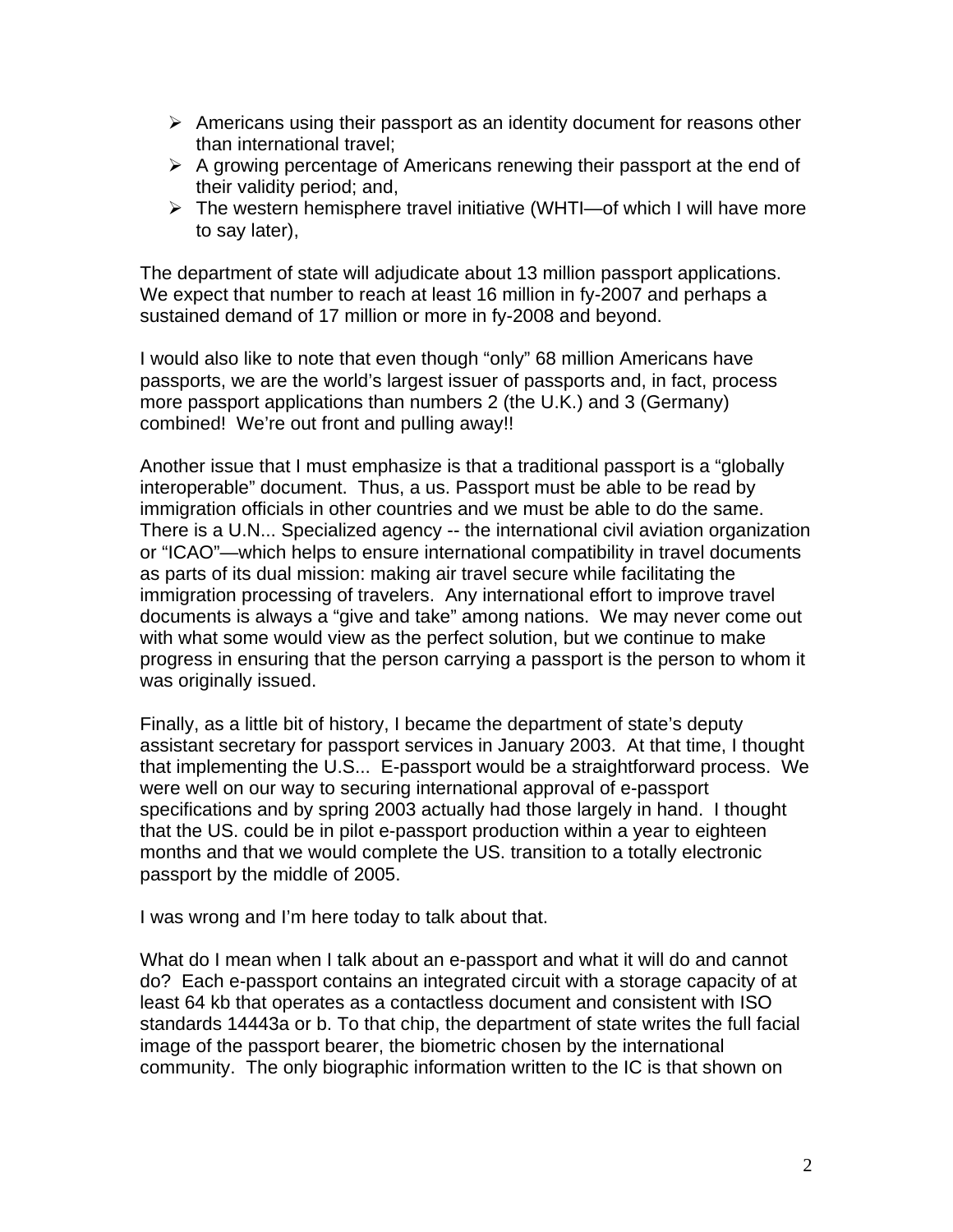- $\triangleright$  Americans using their passport as an identity document for reasons other than international travel;
- $\triangleright$  A growing percentage of Americans renewing their passport at the end of their validity period; and,
- $\triangleright$  The western hemisphere travel initiative (WHTI—of which I will have more to say later),

The department of state will adjudicate about 13 million passport applications. We expect that number to reach at least 16 million in fy-2007 and perhaps a sustained demand of 17 million or more in fy-2008 and beyond.

I would also like to note that even though "only" 68 million Americans have passports, we are the world's largest issuer of passports and, in fact, process more passport applications than numbers 2 (the U.K.) and 3 (Germany) combined! We're out front and pulling away!!

Another issue that I must emphasize is that a traditional passport is a "globally interoperable" document. Thus, a us. Passport must be able to be read by immigration officials in other countries and we must be able to do the same. There is a U.N... Specialized agency -- the international civil aviation organization or "ICAO"—which helps to ensure international compatibility in travel documents as parts of its dual mission: making air travel secure while facilitating the immigration processing of travelers. Any international effort to improve travel documents is always a "give and take" among nations. We may never come out with what some would view as the perfect solution, but we continue to make progress in ensuring that the person carrying a passport is the person to whom it was originally issued.

Finally, as a little bit of history, I became the department of state's deputy assistant secretary for passport services in January 2003. At that time, I thought that implementing the U.S... E-passport would be a straightforward process. We were well on our way to securing international approval of e-passport specifications and by spring 2003 actually had those largely in hand. I thought that the US. could be in pilot e-passport production within a year to eighteen months and that we would complete the US. transition to a totally electronic passport by the middle of 2005.

I was wrong and I'm here today to talk about that.

What do I mean when I talk about an e-passport and what it will do and cannot do? Each e-passport contains an integrated circuit with a storage capacity of at least 64 kb that operates as a contactless document and consistent with ISO standards 14443a or b. To that chip, the department of state writes the full facial image of the passport bearer, the biometric chosen by the international community. The only biographic information written to the IC is that shown on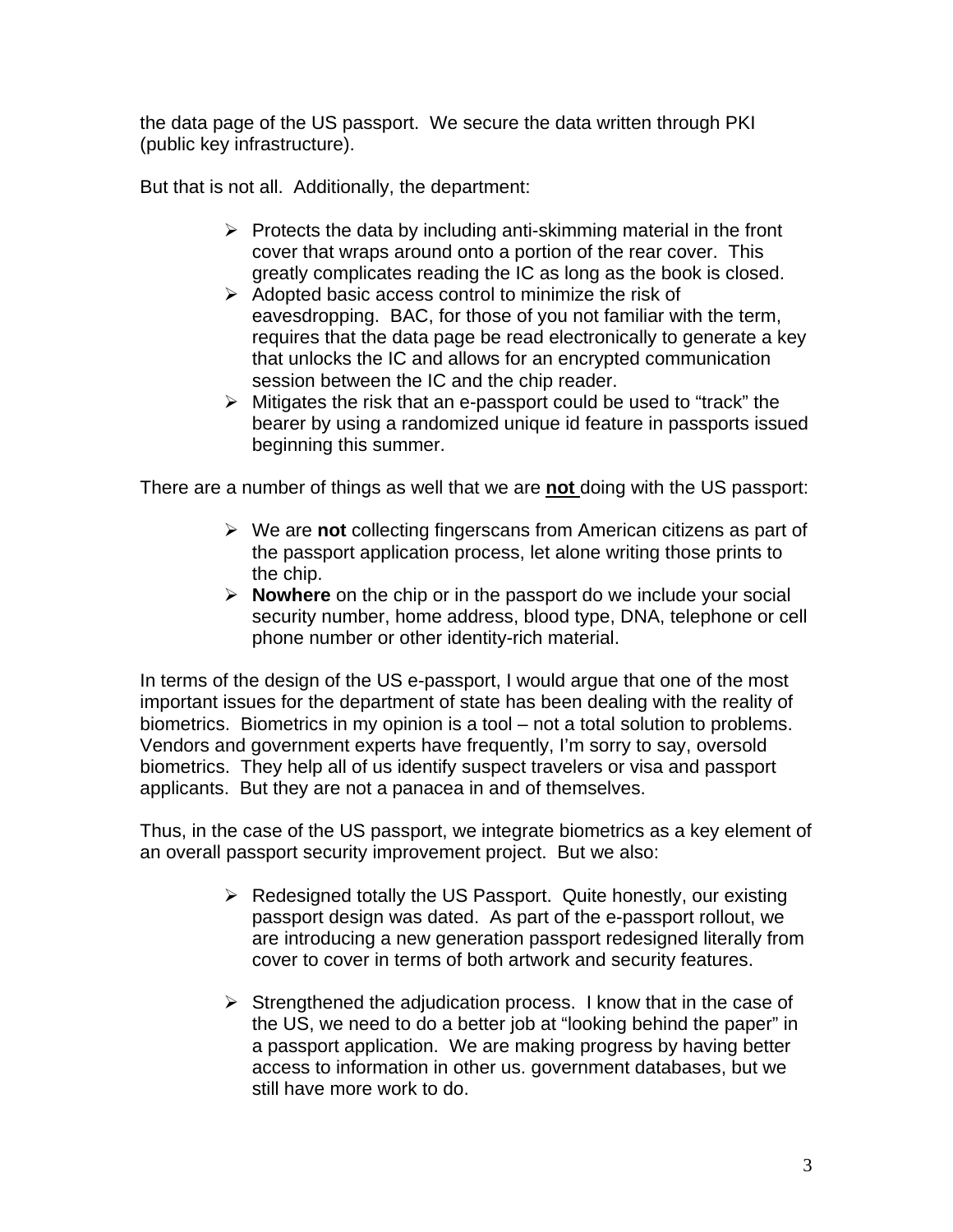the data page of the US passport. We secure the data written through PKI (public key infrastructure).

But that is not all. Additionally, the department:

- $\triangleright$  Protects the data by including anti-skimming material in the front cover that wraps around onto a portion of the rear cover. This greatly complicates reading the IC as long as the book is closed.
- $\triangleright$  Adopted basic access control to minimize the risk of eavesdropping. BAC, for those of you not familiar with the term, requires that the data page be read electronically to generate a key that unlocks the IC and allows for an encrypted communication session between the IC and the chip reader.
- $\triangleright$  Mitigates the risk that an e-passport could be used to "track" the bearer by using a randomized unique id feature in passports issued beginning this summer.

There are a number of things as well that we are **not** doing with the US passport:

- ¾ We are **not** collecting fingerscans from American citizens as part of the passport application process, let alone writing those prints to the chip.
- ¾ **Nowhere** on the chip or in the passport do we include your social security number, home address, blood type, DNA, telephone or cell phone number or other identity-rich material.

In terms of the design of the US e-passport, I would argue that one of the most important issues for the department of state has been dealing with the reality of biometrics. Biometrics in my opinion is a tool – not a total solution to problems. Vendors and government experts have frequently, I'm sorry to say, oversold biometrics. They help all of us identify suspect travelers or visa and passport applicants. But they are not a panacea in and of themselves.

Thus, in the case of the US passport, we integrate biometrics as a key element of an overall passport security improvement project. But we also:

- $\triangleright$  Redesigned totally the US Passport. Quite honestly, our existing passport design was dated. As part of the e-passport rollout, we are introducing a new generation passport redesigned literally from cover to cover in terms of both artwork and security features.
- $\triangleright$  Strengthened the adjudication process. I know that in the case of the US, we need to do a better job at "looking behind the paper" in a passport application. We are making progress by having better access to information in other us. government databases, but we still have more work to do.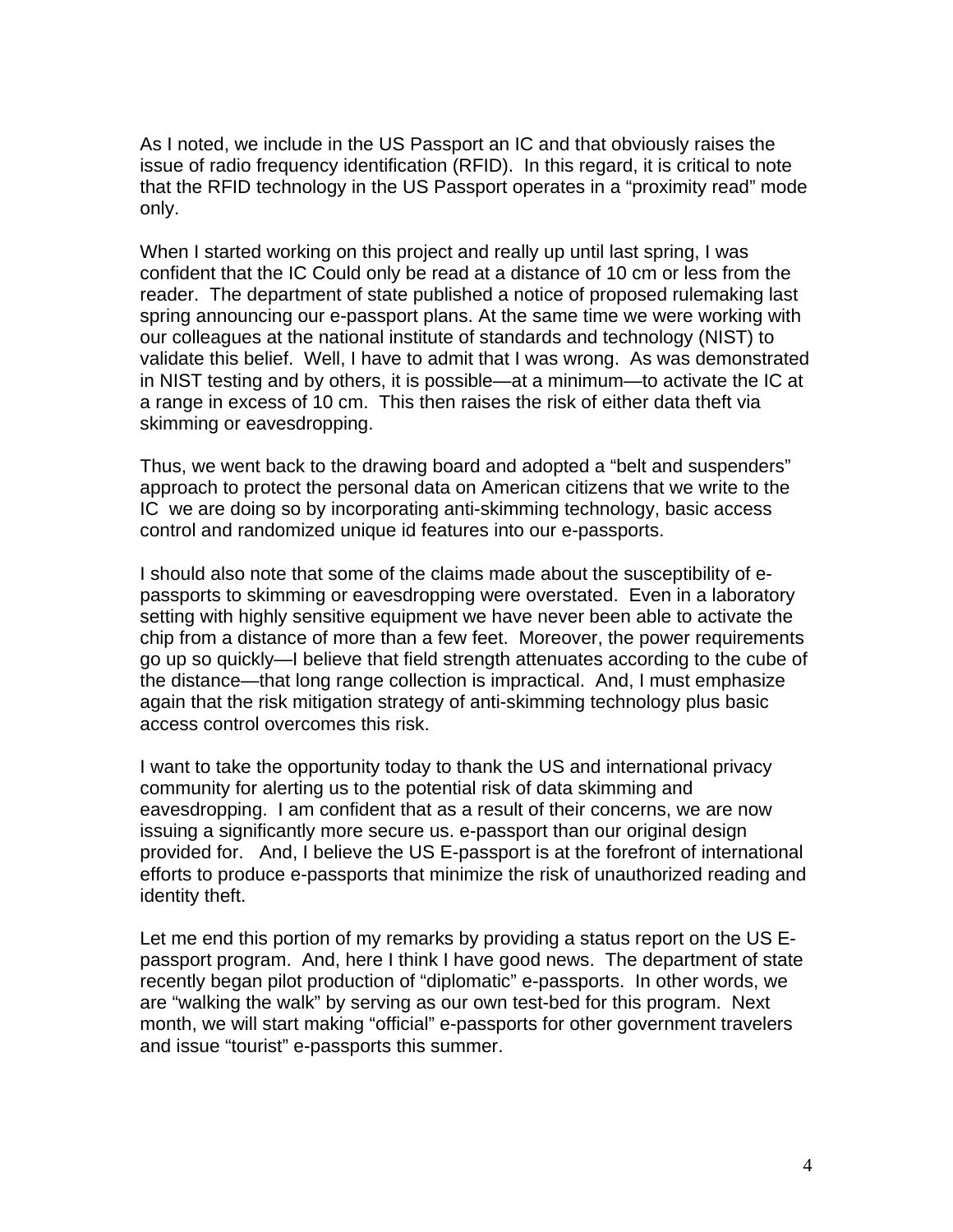As I noted, we include in the US Passport an IC and that obviously raises the issue of radio frequency identification (RFID). In this regard, it is critical to note that the RFID technology in the US Passport operates in a "proximity read" mode only.

When I started working on this project and really up until last spring, I was confident that the IC Could only be read at a distance of 10 cm or less from the reader. The department of state published a notice of proposed rulemaking last spring announcing our e-passport plans. At the same time we were working with our colleagues at the national institute of standards and technology (NIST) to validate this belief. Well, I have to admit that I was wrong. As was demonstrated in NIST testing and by others, it is possible—at a minimum—to activate the IC at a range in excess of 10 cm. This then raises the risk of either data theft via skimming or eavesdropping.

Thus, we went back to the drawing board and adopted a "belt and suspenders" approach to protect the personal data on American citizens that we write to the IC we are doing so by incorporating anti-skimming technology, basic access control and randomized unique id features into our e-passports.

I should also note that some of the claims made about the susceptibility of epassports to skimming or eavesdropping were overstated. Even in a laboratory setting with highly sensitive equipment we have never been able to activate the chip from a distance of more than a few feet. Moreover, the power requirements go up so quickly—I believe that field strength attenuates according to the cube of the distance—that long range collection is impractical. And, I must emphasize again that the risk mitigation strategy of anti-skimming technology plus basic access control overcomes this risk.

I want to take the opportunity today to thank the US and international privacy community for alerting us to the potential risk of data skimming and eavesdropping. I am confident that as a result of their concerns, we are now issuing a significantly more secure us. e-passport than our original design provided for. And, I believe the US E-passport is at the forefront of international efforts to produce e-passports that minimize the risk of unauthorized reading and identity theft.

Let me end this portion of my remarks by providing a status report on the US Epassport program. And, here I think I have good news. The department of state recently began pilot production of "diplomatic" e-passports. In other words, we are "walking the walk" by serving as our own test-bed for this program. Next month, we will start making "official" e-passports for other government travelers and issue "tourist" e-passports this summer.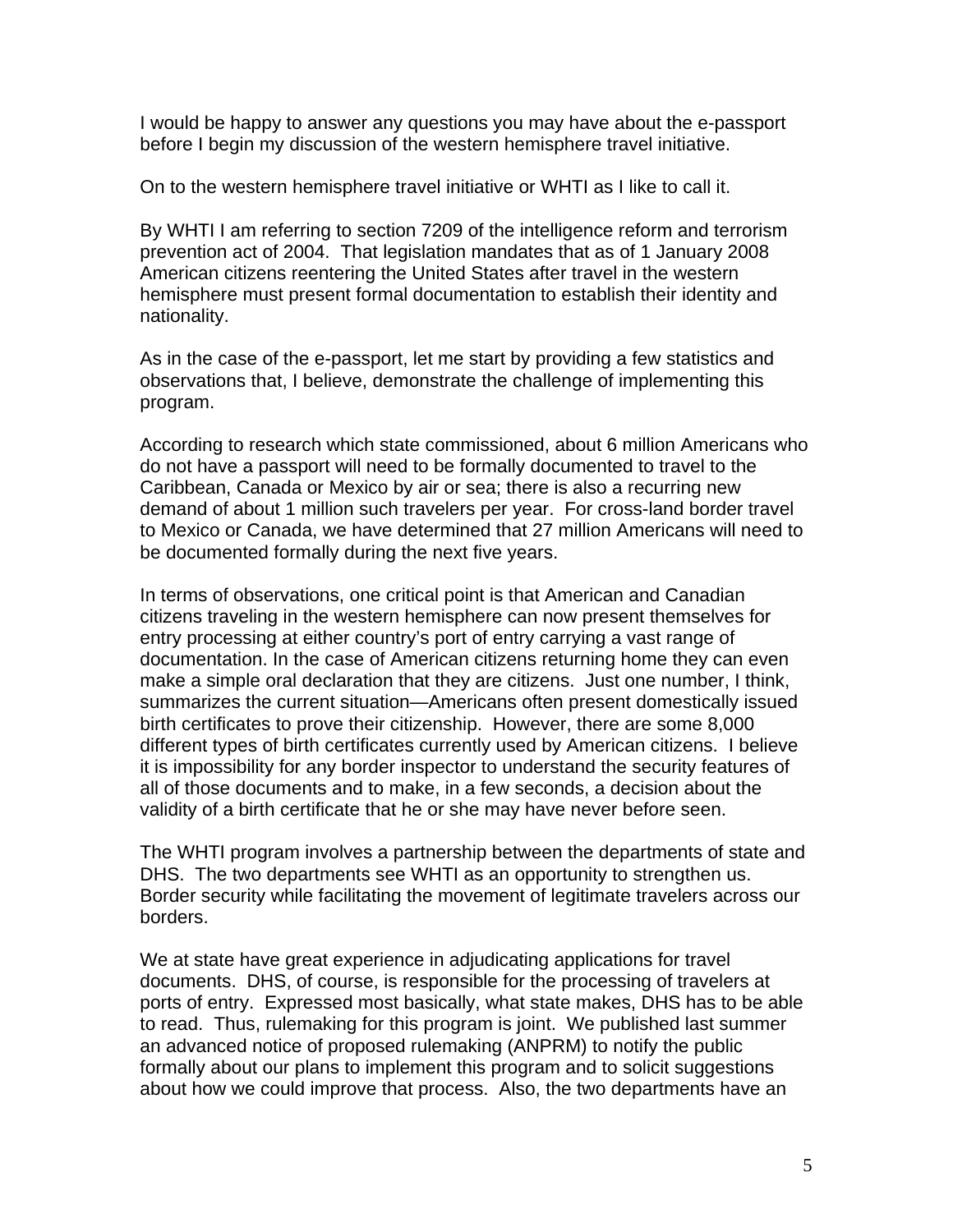I would be happy to answer any questions you may have about the e-passport before I begin my discussion of the western hemisphere travel initiative.

On to the western hemisphere travel initiative or WHTI as I like to call it.

By WHTI I am referring to section 7209 of the intelligence reform and terrorism prevention act of 2004. That legislation mandates that as of 1 January 2008 American citizens reentering the United States after travel in the western hemisphere must present formal documentation to establish their identity and nationality.

As in the case of the e-passport, let me start by providing a few statistics and observations that, I believe, demonstrate the challenge of implementing this program.

According to research which state commissioned, about 6 million Americans who do not have a passport will need to be formally documented to travel to the Caribbean, Canada or Mexico by air or sea; there is also a recurring new demand of about 1 million such travelers per year. For cross-land border travel to Mexico or Canada, we have determined that 27 million Americans will need to be documented formally during the next five years.

In terms of observations, one critical point is that American and Canadian citizens traveling in the western hemisphere can now present themselves for entry processing at either country's port of entry carrying a vast range of documentation. In the case of American citizens returning home they can even make a simple oral declaration that they are citizens. Just one number, I think, summarizes the current situation—Americans often present domestically issued birth certificates to prove their citizenship. However, there are some 8,000 different types of birth certificates currently used by American citizens. I believe it is impossibility for any border inspector to understand the security features of all of those documents and to make, in a few seconds, a decision about the validity of a birth certificate that he or she may have never before seen.

The WHTI program involves a partnership between the departments of state and DHS. The two departments see WHTI as an opportunity to strengthen us. Border security while facilitating the movement of legitimate travelers across our borders.

We at state have great experience in adjudicating applications for travel documents. DHS, of course, is responsible for the processing of travelers at ports of entry. Expressed most basically, what state makes, DHS has to be able to read. Thus, rulemaking for this program is joint. We published last summer an advanced notice of proposed rulemaking (ANPRM) to notify the public formally about our plans to implement this program and to solicit suggestions about how we could improve that process. Also, the two departments have an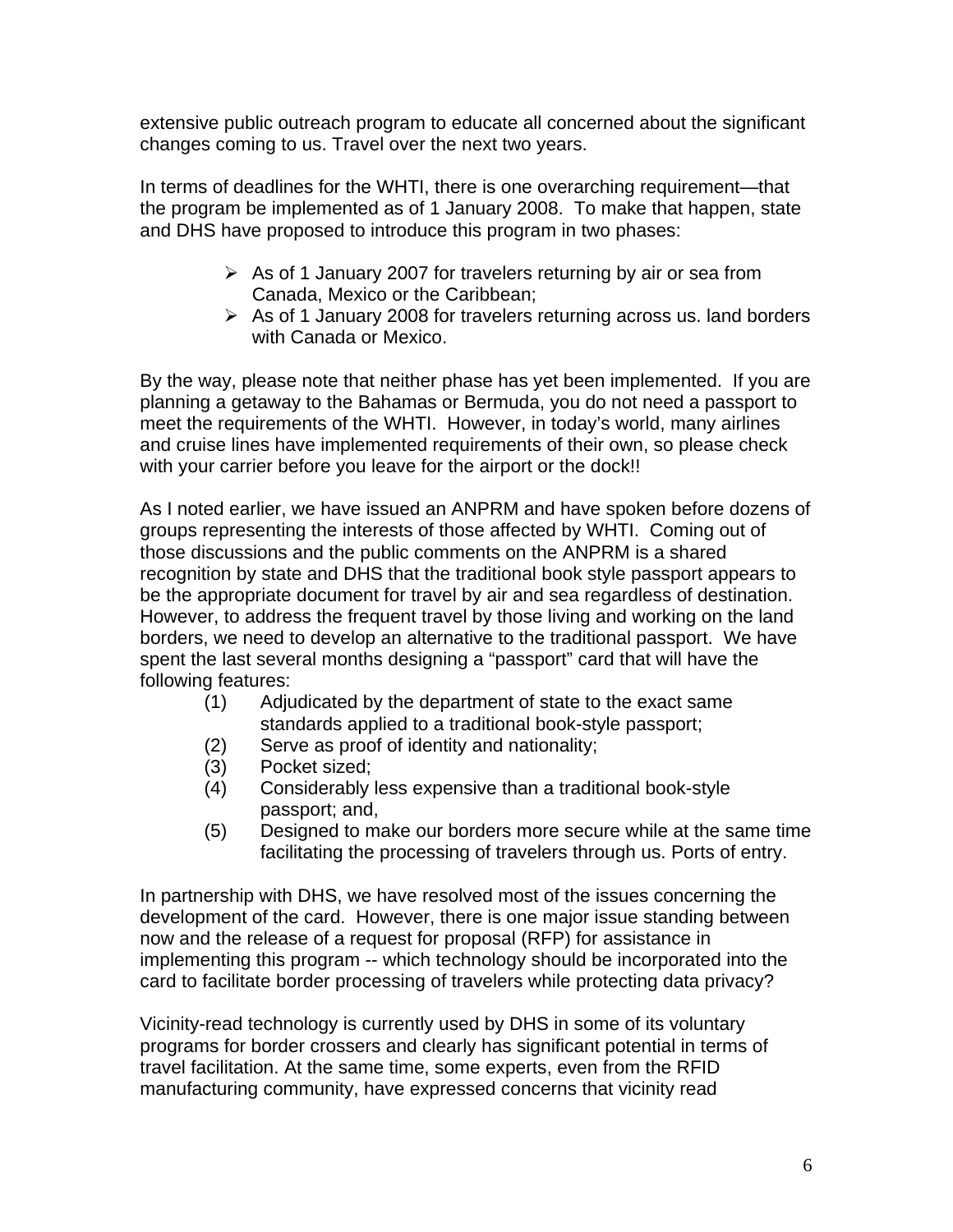extensive public outreach program to educate all concerned about the significant changes coming to us. Travel over the next two years.

In terms of deadlines for the WHTI, there is one overarching requirement—that the program be implemented as of 1 January 2008. To make that happen, state and DHS have proposed to introduce this program in two phases:

- $\triangleright$  As of 1 January 2007 for travelers returning by air or sea from Canada, Mexico or the Caribbean;
- $\triangleright$  As of 1 January 2008 for travelers returning across us. land borders with Canada or Mexico.

By the way, please note that neither phase has yet been implemented. If you are planning a getaway to the Bahamas or Bermuda, you do not need a passport to meet the requirements of the WHTI. However, in today's world, many airlines and cruise lines have implemented requirements of their own, so please check with your carrier before you leave for the airport or the dock!!

As I noted earlier, we have issued an ANPRM and have spoken before dozens of groups representing the interests of those affected by WHTI. Coming out of those discussions and the public comments on the ANPRM is a shared recognition by state and DHS that the traditional book style passport appears to be the appropriate document for travel by air and sea regardless of destination. However, to address the frequent travel by those living and working on the land borders, we need to develop an alternative to the traditional passport. We have spent the last several months designing a "passport" card that will have the following features:

- (1) Adjudicated by the department of state to the exact same standards applied to a traditional book-style passport;
- (2) Serve as proof of identity and nationality;
- (3) Pocket sized;
- (4) Considerably less expensive than a traditional book-style passport; and,
- (5) Designed to make our borders more secure while at the same time facilitating the processing of travelers through us. Ports of entry.

In partnership with DHS, we have resolved most of the issues concerning the development of the card. However, there is one major issue standing between now and the release of a request for proposal (RFP) for assistance in implementing this program -- which technology should be incorporated into the card to facilitate border processing of travelers while protecting data privacy?

Vicinity-read technology is currently used by DHS in some of its voluntary programs for border crossers and clearly has significant potential in terms of travel facilitation. At the same time, some experts, even from the RFID manufacturing community, have expressed concerns that vicinity read